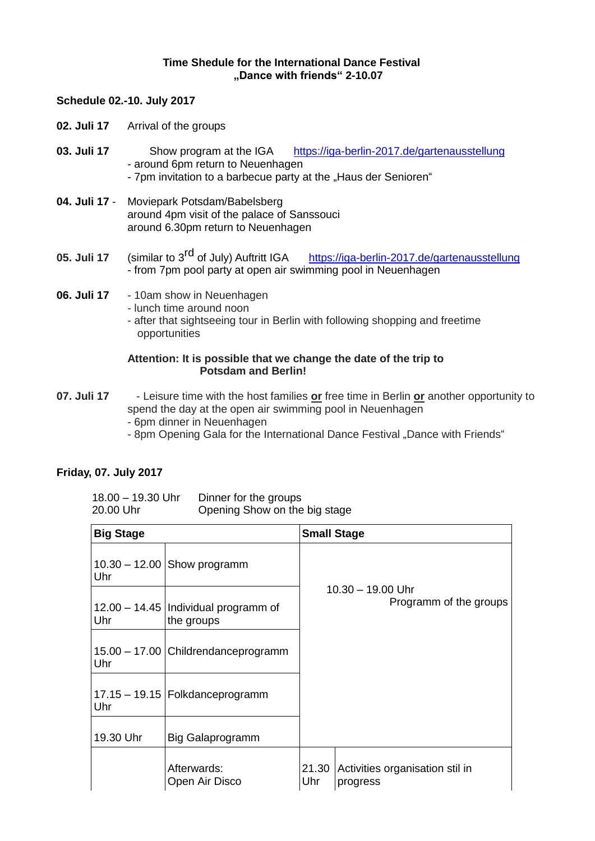## **Time Shedule for the International Dance Festival "Dance with friends" 2-10.07**

#### **Schedule 02.-10. July 2017**

- **02. Juli 17** Arrival of the groups
- **03. Juli 17** Show program at the IGA <https://iga-berlin-2017.de/gartenausstellung> - around 6pm return to Neuenhagen - 7pm invitation to a barbecue party at the "Haus der Senioren"
- **04. Juli 17** Moviepark Potsdam/Babelsberg around 4pm visit of the palace of Sanssouci around 6.30pm return to Neuenhagen
- **05. Juli 17** (similar to 3<sup>rd</sup> of July) Auftritt IGA <https://iga-berlin-2017.de/gartenausstellung> - from 7pm pool party at open air swimming pool in Neuenhagen
- **06. Juli 17** 10am show in Neuenhagen
	- lunch time around noon
	- after that sightseeing tour in Berlin with following shopping and freetime opportunities

#### **Attention: It is possible that we change the date of the trip to Potsdam and Berlin!**

- **07. Juli 17**  Leisure time with the host families **or** free time in Berlin **or** another opportunity to spend the day at the open air swimming pool in Neuenhagen
	- 6pm dinner in Neuenhagen
	- 8pm Opening Gala for the International Dance Festival .Dance with Friends"

## **Friday, 07. July 2017**

| 18.00 – 19.30 Uhr | Dinner for the groups         |
|-------------------|-------------------------------|
| 20.00 Uhr         | Opening Show on the big stage |

| <b>Big Stage</b> |                                                      | <b>Small Stage</b>                            |                                             |  |
|------------------|------------------------------------------------------|-----------------------------------------------|---------------------------------------------|--|
| Uhr              | $10.30 - 12.00$ Show programm                        |                                               |                                             |  |
| Uhr              | 12.00 – 14.45   Individual programm of<br>the groups | $10.30 - 19.00$ Uhr<br>Programm of the groups |                                             |  |
| Uhr              | 15.00 - 17.00 Childrendanceprogramm                  |                                               |                                             |  |
| Uhr              | 17.15 - 19.15 Folkdanceprogramm                      |                                               |                                             |  |
| 19.30 Uhr        | Big Galaprogramm                                     |                                               |                                             |  |
|                  | Afterwards:<br>Open Air Disco                        | 21.30<br>Uhr                                  | Activities organisation stil in<br>progress |  |